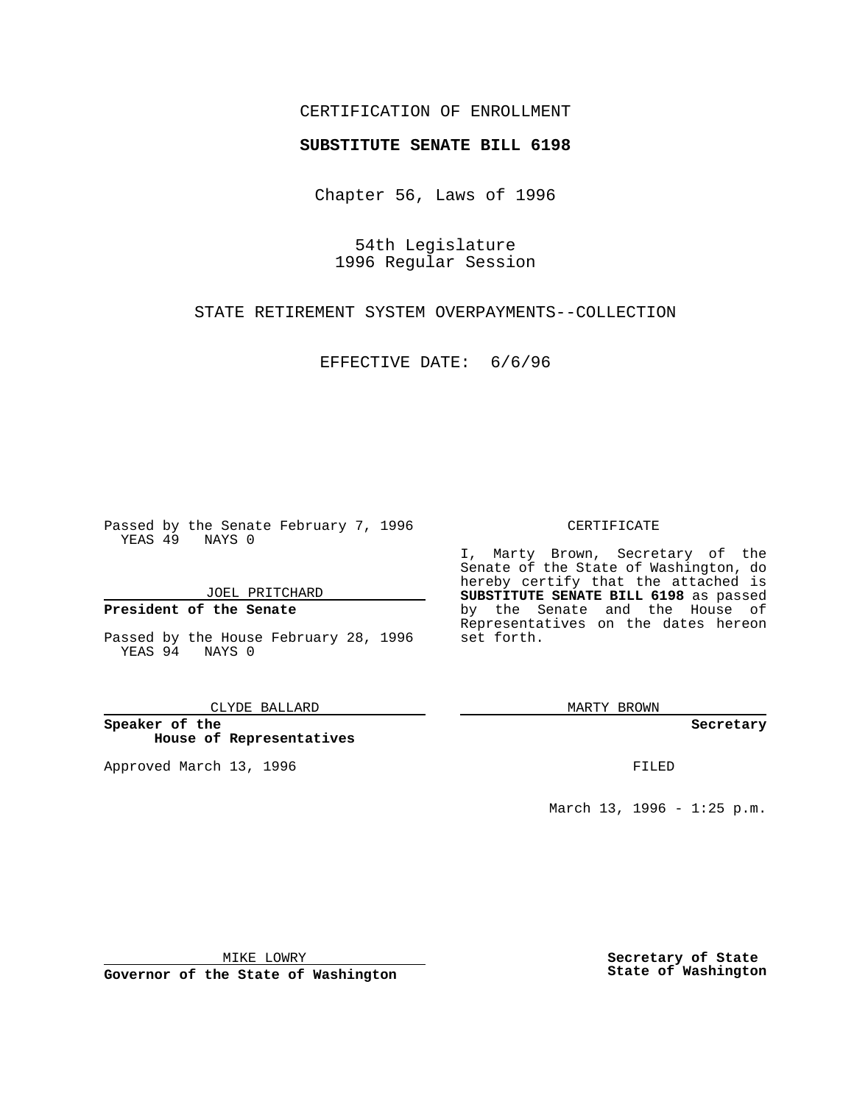### CERTIFICATION OF ENROLLMENT

# **SUBSTITUTE SENATE BILL 6198**

Chapter 56, Laws of 1996

54th Legislature 1996 Regular Session

STATE RETIREMENT SYSTEM OVERPAYMENTS--COLLECTION

EFFECTIVE DATE: 6/6/96

Passed by the Senate February 7, 1996 YEAS 49 NAYS 0

JOEL PRITCHARD

**President of the Senate**

Passed by the House February 28, 1996 YEAS 94 NAYS 0

CLYDE BALLARD

**Speaker of the House of Representatives**

Approved March 13, 1996 **FILED** 

#### CERTIFICATE

I, Marty Brown, Secretary of the Senate of the State of Washington, do hereby certify that the attached is **SUBSTITUTE SENATE BILL 6198** as passed by the Senate and the House of Representatives on the dates hereon set forth.

MARTY BROWN

**Secretary**

March 13, 1996 - 1:25 p.m.

MIKE LOWRY

**Governor of the State of Washington**

**Secretary of State State of Washington**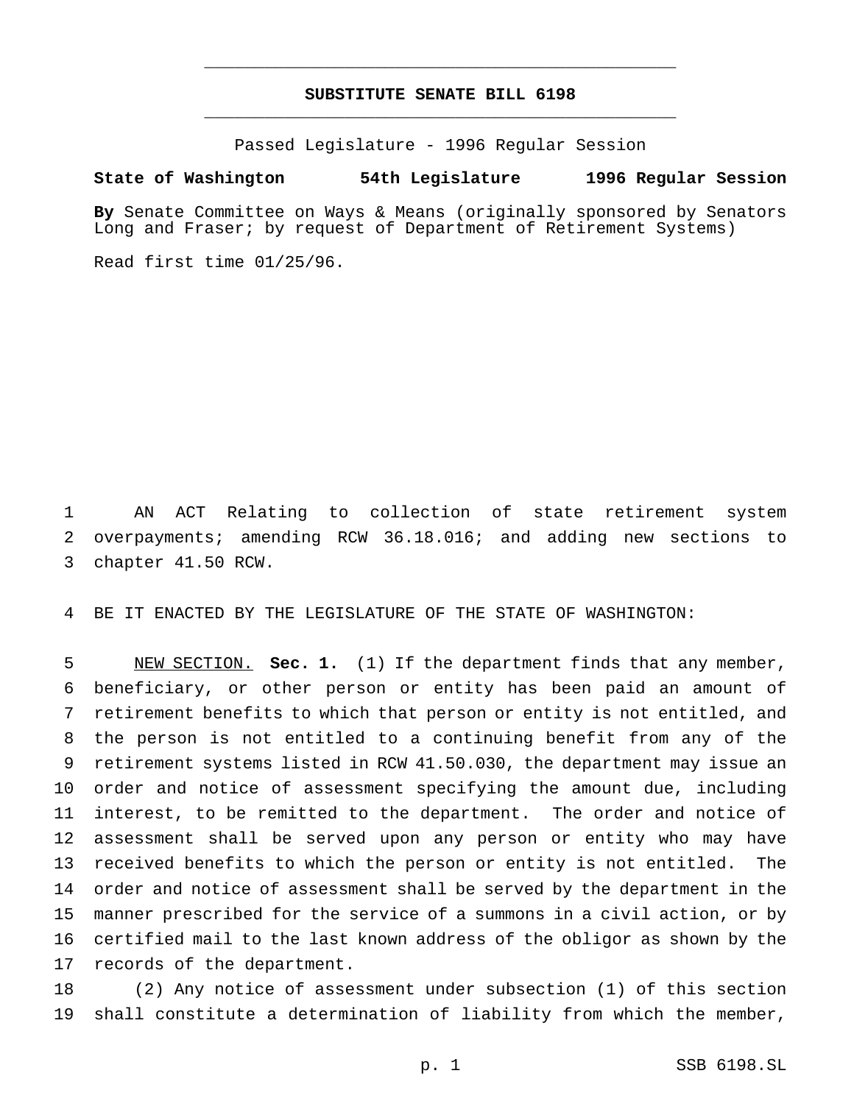## **SUBSTITUTE SENATE BILL 6198** \_\_\_\_\_\_\_\_\_\_\_\_\_\_\_\_\_\_\_\_\_\_\_\_\_\_\_\_\_\_\_\_\_\_\_\_\_\_\_\_\_\_\_\_\_\_\_

\_\_\_\_\_\_\_\_\_\_\_\_\_\_\_\_\_\_\_\_\_\_\_\_\_\_\_\_\_\_\_\_\_\_\_\_\_\_\_\_\_\_\_\_\_\_\_

Passed Legislature - 1996 Regular Session

#### **State of Washington 54th Legislature 1996 Regular Session**

**By** Senate Committee on Ways & Means (originally sponsored by Senators Long and Fraser; by request of Department of Retirement Systems)

Read first time 01/25/96.

 AN ACT Relating to collection of state retirement system overpayments; amending RCW 36.18.016; and adding new sections to chapter 41.50 RCW.

BE IT ENACTED BY THE LEGISLATURE OF THE STATE OF WASHINGTON:

 NEW SECTION. **Sec. 1.** (1) If the department finds that any member, beneficiary, or other person or entity has been paid an amount of retirement benefits to which that person or entity is not entitled, and the person is not entitled to a continuing benefit from any of the retirement systems listed in RCW 41.50.030, the department may issue an order and notice of assessment specifying the amount due, including interest, to be remitted to the department. The order and notice of assessment shall be served upon any person or entity who may have received benefits to which the person or entity is not entitled. The order and notice of assessment shall be served by the department in the manner prescribed for the service of a summons in a civil action, or by certified mail to the last known address of the obligor as shown by the records of the department.

 (2) Any notice of assessment under subsection (1) of this section shall constitute a determination of liability from which the member,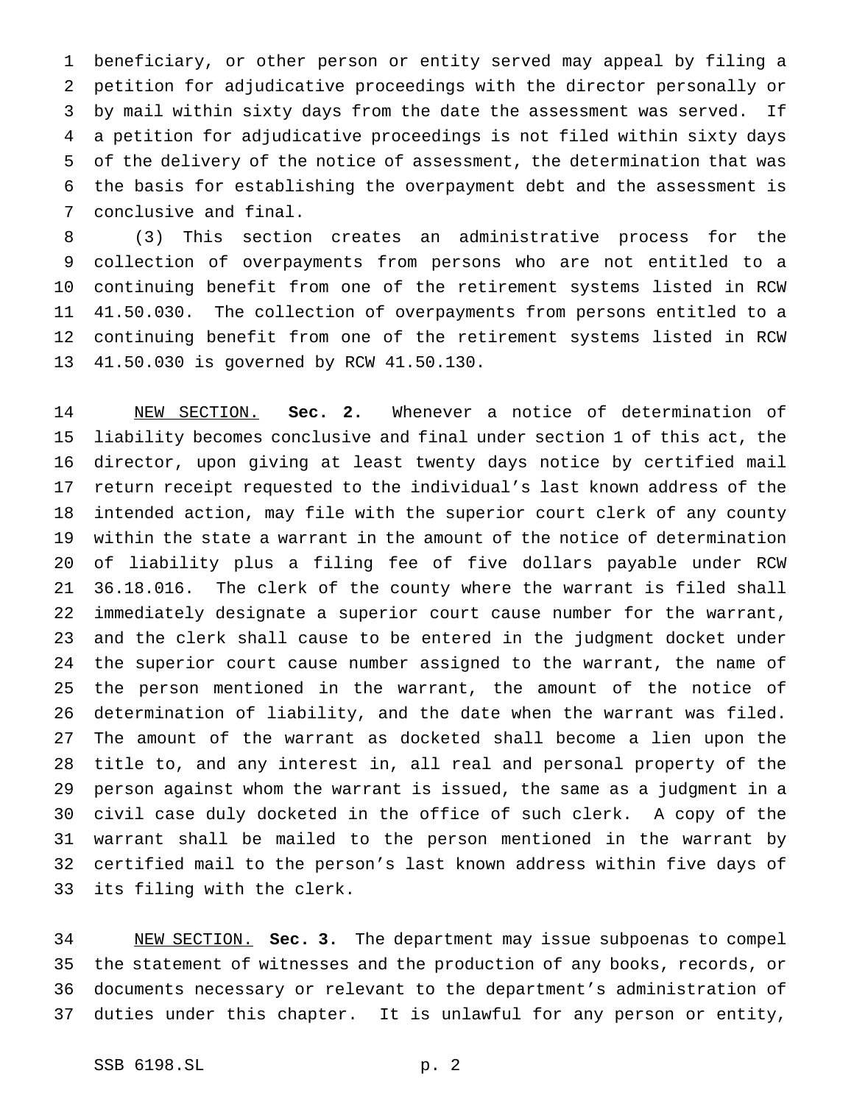beneficiary, or other person or entity served may appeal by filing a petition for adjudicative proceedings with the director personally or by mail within sixty days from the date the assessment was served. If a petition for adjudicative proceedings is not filed within sixty days of the delivery of the notice of assessment, the determination that was the basis for establishing the overpayment debt and the assessment is conclusive and final.

 (3) This section creates an administrative process for the collection of overpayments from persons who are not entitled to a continuing benefit from one of the retirement systems listed in RCW 41.50.030. The collection of overpayments from persons entitled to a continuing benefit from one of the retirement systems listed in RCW 41.50.030 is governed by RCW 41.50.130.

 NEW SECTION. **Sec. 2.** Whenever a notice of determination of liability becomes conclusive and final under section 1 of this act, the director, upon giving at least twenty days notice by certified mail return receipt requested to the individual's last known address of the intended action, may file with the superior court clerk of any county within the state a warrant in the amount of the notice of determination of liability plus a filing fee of five dollars payable under RCW 36.18.016. The clerk of the county where the warrant is filed shall immediately designate a superior court cause number for the warrant, and the clerk shall cause to be entered in the judgment docket under the superior court cause number assigned to the warrant, the name of the person mentioned in the warrant, the amount of the notice of determination of liability, and the date when the warrant was filed. The amount of the warrant as docketed shall become a lien upon the title to, and any interest in, all real and personal property of the person against whom the warrant is issued, the same as a judgment in a civil case duly docketed in the office of such clerk. A copy of the warrant shall be mailed to the person mentioned in the warrant by certified mail to the person's last known address within five days of its filing with the clerk.

 NEW SECTION. **Sec. 3.** The department may issue subpoenas to compel the statement of witnesses and the production of any books, records, or documents necessary or relevant to the department's administration of duties under this chapter. It is unlawful for any person or entity,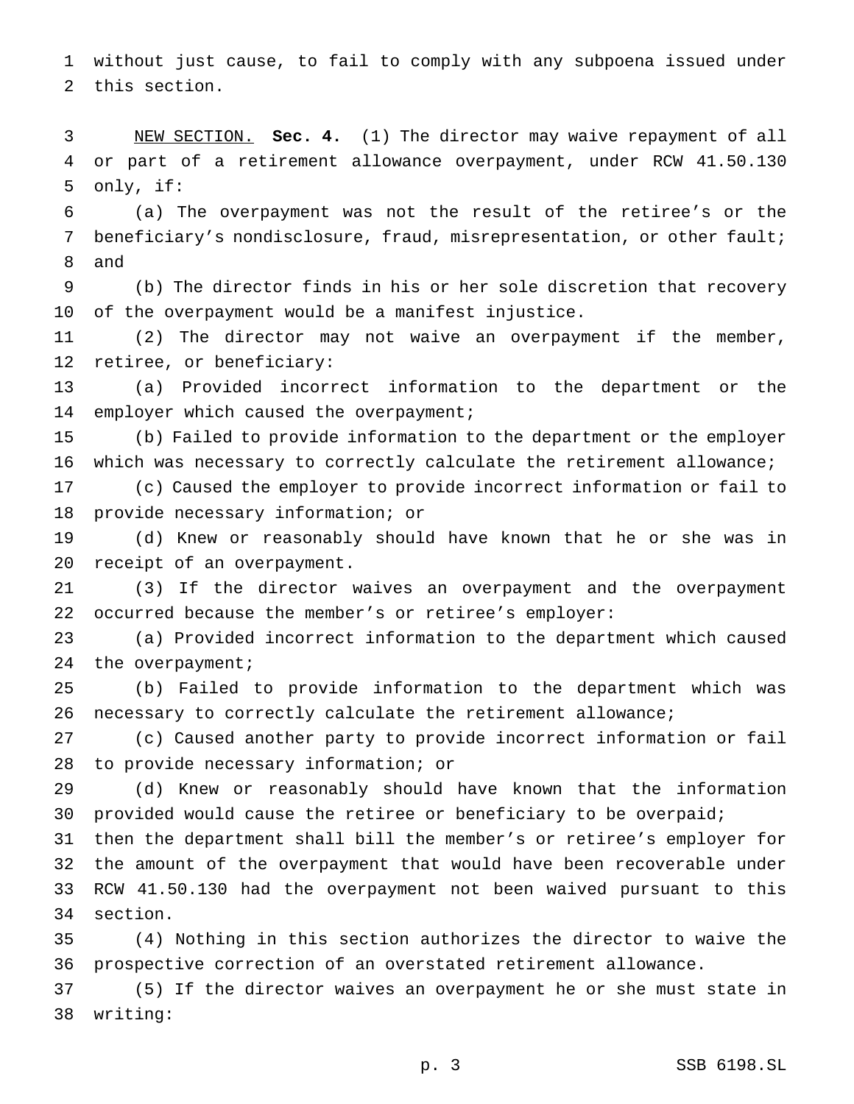without just cause, to fail to comply with any subpoena issued under this section.

 NEW SECTION. **Sec. 4.** (1) The director may waive repayment of all or part of a retirement allowance overpayment, under RCW 41.50.130 only, if:

 (a) The overpayment was not the result of the retiree's or the beneficiary's nondisclosure, fraud, misrepresentation, or other fault; and

 (b) The director finds in his or her sole discretion that recovery of the overpayment would be a manifest injustice.

 (2) The director may not waive an overpayment if the member, retiree, or beneficiary:

 (a) Provided incorrect information to the department or the 14 employer which caused the overpayment;

 (b) Failed to provide information to the department or the employer which was necessary to correctly calculate the retirement allowance;

 (c) Caused the employer to provide incorrect information or fail to provide necessary information; or

 (d) Knew or reasonably should have known that he or she was in receipt of an overpayment.

 (3) If the director waives an overpayment and the overpayment occurred because the member's or retiree's employer:

 (a) Provided incorrect information to the department which caused 24 the overpayment;

 (b) Failed to provide information to the department which was necessary to correctly calculate the retirement allowance;

 (c) Caused another party to provide incorrect information or fail to provide necessary information; or

 (d) Knew or reasonably should have known that the information 30 provided would cause the retiree or beneficiary to be overpaid;

 then the department shall bill the member's or retiree's employer for the amount of the overpayment that would have been recoverable under RCW 41.50.130 had the overpayment not been waived pursuant to this section.

 (4) Nothing in this section authorizes the director to waive the prospective correction of an overstated retirement allowance.

 (5) If the director waives an overpayment he or she must state in writing: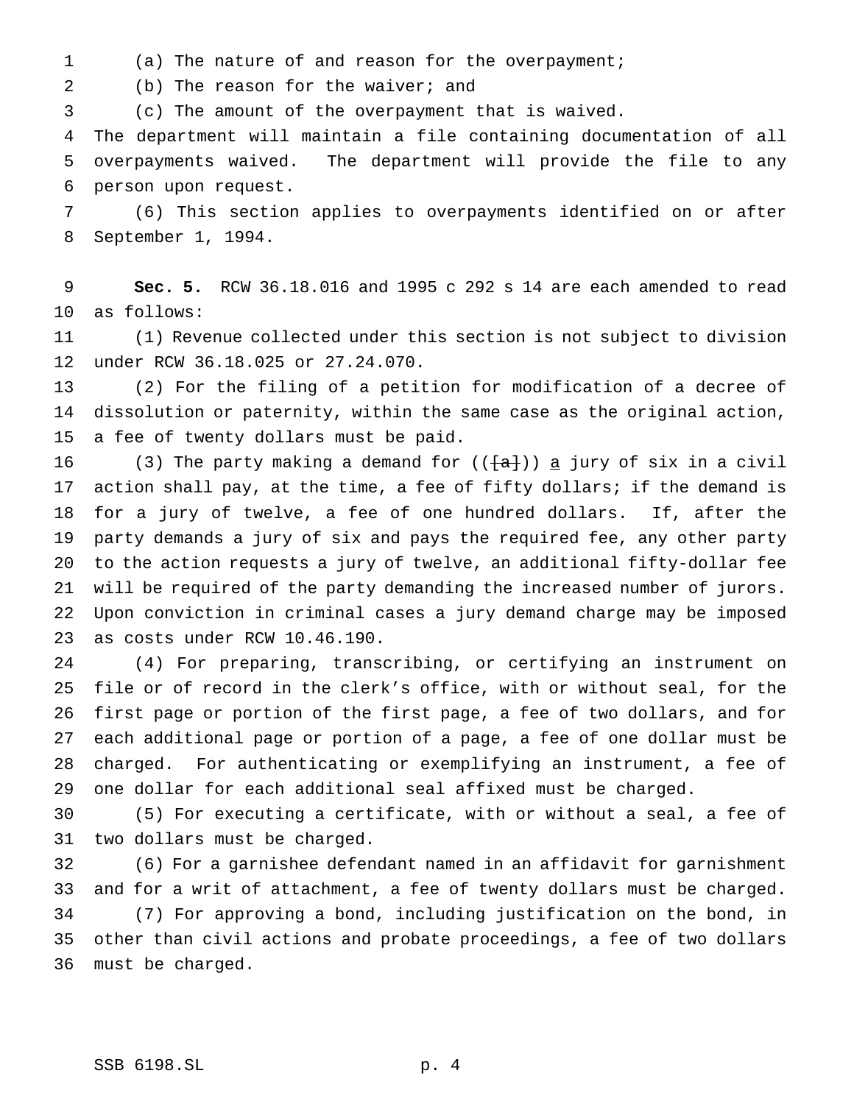(a) The nature of and reason for the overpayment;

2 (b) The reason for the waiver; and

(c) The amount of the overpayment that is waived.

 The department will maintain a file containing documentation of all overpayments waived. The department will provide the file to any person upon request.

 (6) This section applies to overpayments identified on or after September 1, 1994.

 **Sec. 5.** RCW 36.18.016 and 1995 c 292 s 14 are each amended to read as follows:

 (1) Revenue collected under this section is not subject to division under RCW 36.18.025 or 27.24.070.

 (2) For the filing of a petition for modification of a decree of dissolution or paternity, within the same case as the original action, a fee of twenty dollars must be paid.

16 (3) The party making a demand for  $((a + b))$  a jury of six in a civil action shall pay, at the time, a fee of fifty dollars; if the demand is for a jury of twelve, a fee of one hundred dollars. If, after the party demands a jury of six and pays the required fee, any other party to the action requests a jury of twelve, an additional fifty-dollar fee will be required of the party demanding the increased number of jurors. Upon conviction in criminal cases a jury demand charge may be imposed as costs under RCW 10.46.190.

 (4) For preparing, transcribing, or certifying an instrument on file or of record in the clerk's office, with or without seal, for the first page or portion of the first page, a fee of two dollars, and for each additional page or portion of a page, a fee of one dollar must be charged. For authenticating or exemplifying an instrument, a fee of one dollar for each additional seal affixed must be charged.

 (5) For executing a certificate, with or without a seal, a fee of two dollars must be charged.

 (6) For a garnishee defendant named in an affidavit for garnishment and for a writ of attachment, a fee of twenty dollars must be charged. (7) For approving a bond, including justification on the bond, in other than civil actions and probate proceedings, a fee of two dollars must be charged.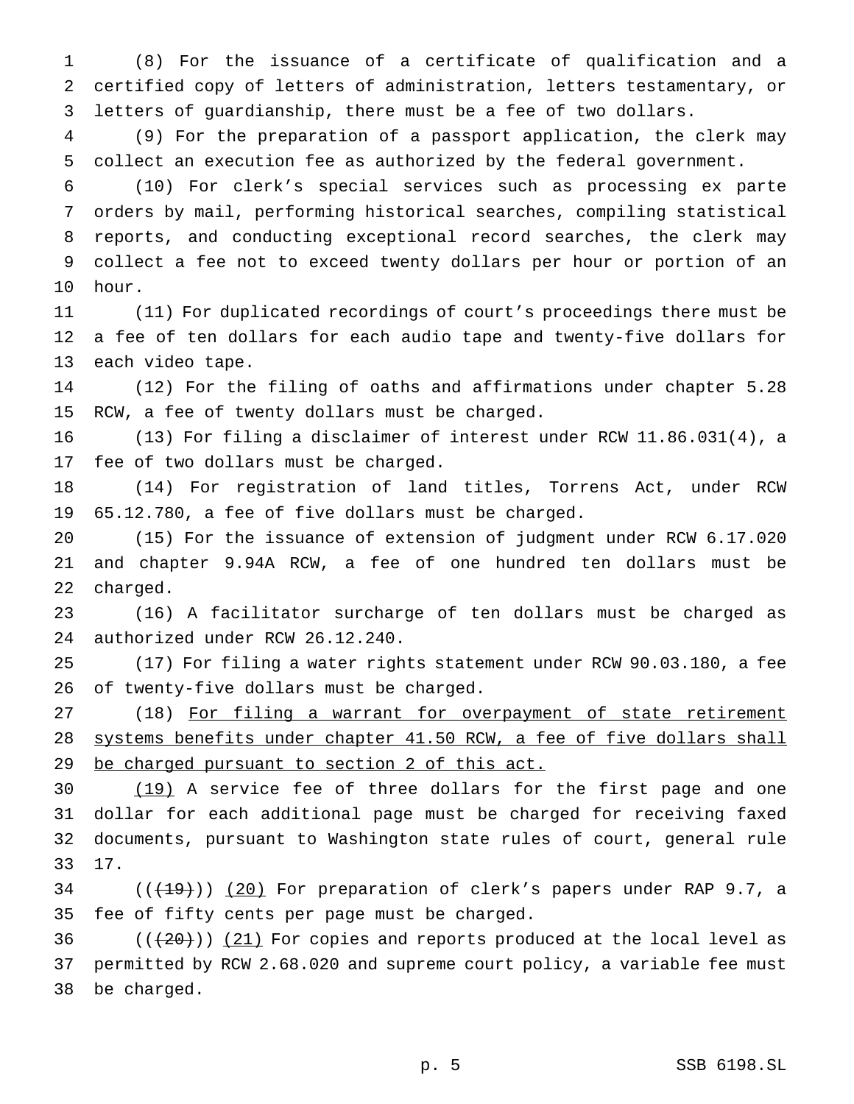(8) For the issuance of a certificate of qualification and a certified copy of letters of administration, letters testamentary, or letters of guardianship, there must be a fee of two dollars.

 (9) For the preparation of a passport application, the clerk may collect an execution fee as authorized by the federal government.

 (10) For clerk's special services such as processing ex parte orders by mail, performing historical searches, compiling statistical reports, and conducting exceptional record searches, the clerk may collect a fee not to exceed twenty dollars per hour or portion of an hour.

 (11) For duplicated recordings of court's proceedings there must be a fee of ten dollars for each audio tape and twenty-five dollars for each video tape.

 (12) For the filing of oaths and affirmations under chapter 5.28 RCW, a fee of twenty dollars must be charged.

 (13) For filing a disclaimer of interest under RCW 11.86.031(4), a fee of two dollars must be charged.

 (14) For registration of land titles, Torrens Act, under RCW 65.12.780, a fee of five dollars must be charged.

 (15) For the issuance of extension of judgment under RCW 6.17.020 and chapter 9.94A RCW, a fee of one hundred ten dollars must be charged.

 (16) A facilitator surcharge of ten dollars must be charged as authorized under RCW 26.12.240.

 (17) For filing a water rights statement under RCW 90.03.180, a fee of twenty-five dollars must be charged.

27 (18) For filing a warrant for overpayment of state retirement systems benefits under chapter 41.50 RCW, a fee of five dollars shall 29 be charged pursuant to section 2 of this act.

 (19) A service fee of three dollars for the first page and one dollar for each additional page must be charged for receiving faxed documents, pursuant to Washington state rules of court, general rule 17.

 ( $(\overline{+19})$ ) (20) For preparation of clerk's papers under RAP 9.7, a fee of fifty cents per page must be charged.

36  $((+20))$   $(21)$  For copies and reports produced at the local level as permitted by RCW 2.68.020 and supreme court policy, a variable fee must be charged.